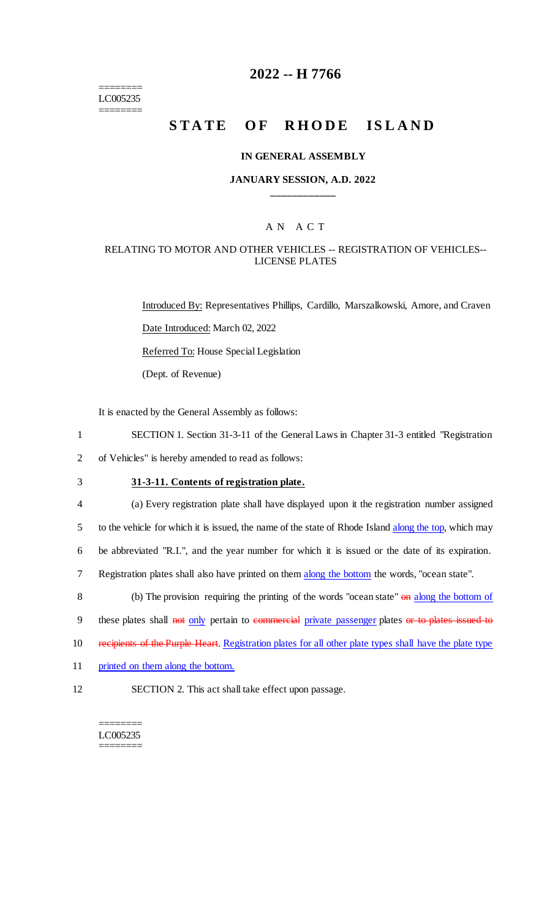======== LC005235 ========

### **2022 -- H 7766**

# **STATE OF RHODE ISLAND**

#### **IN GENERAL ASSEMBLY**

#### **JANUARY SESSION, A.D. 2022 \_\_\_\_\_\_\_\_\_\_\_\_**

#### A N A C T

#### RELATING TO MOTOR AND OTHER VEHICLES -- REGISTRATION OF VEHICLES-- LICENSE PLATES

Introduced By: Representatives Phillips, Cardillo, Marszalkowski, Amore, and Craven Date Introduced: March 02, 2022 Referred To: House Special Legislation (Dept. of Revenue)

It is enacted by the General Assembly as follows:

1 SECTION 1. Section 31-3-11 of the General Laws in Chapter 31-3 entitled "Registration

2 of Vehicles" is hereby amended to read as follows:

3 **31-3-11. Contents of registration plate.**

 (a) Every registration plate shall have displayed upon it the registration number assigned 5 to the vehicle for which it is issued, the name of the state of Rhode Island along the top, which may be abbreviated "R.I.", and the year number for which it is issued or the date of its expiration. Registration plates shall also have printed on them along the bottom the words, "ocean state".

8 (b) The provision requiring the printing of the words "ocean state" on along the bottom of

9 these plates shall not only pertain to commercial private passenger plates or to plates issued to

- 10 recipients of the Purple Heart. Registration plates for all other plate types shall have the plate type
- 11 printed on them along the bottom.
- 12 SECTION 2. This act shall take effect upon passage.

======== LC005235 ========